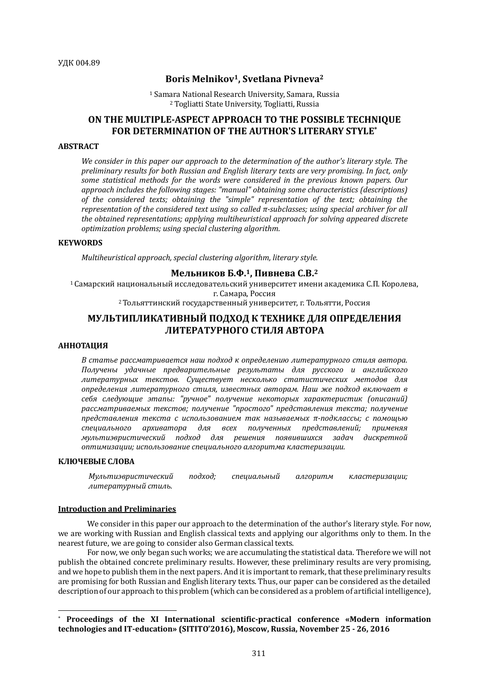# **Boris Melnikov1, Svetlana Pivneva<sup>2</sup>**

<sup>1</sup> Samara National Research University, Samara, Russia <sup>2</sup> Togliatti State University, Togliatti, Russia

# **ON THE MULTIPLE-ASPECT APPROACH TO THE POSSIBLE TECHNIQUE FOR DETERMINATION OF THE AUTHOR'S LITERARY STYLE\***

## **ABSTRACT**

We consider in this paper our approach to the determination of the author's literary style. The *preliminary results for both Russian and English literary texts are very promising. In fact, only*  some statistical methods for the words were considered in the previous known papers. Our approach includes the following stages: "manual" obtaining some characteristics (descriptions) of the considered texts; obtaining the "simple" representation of the text; obtaining the *representation of the considered text using so called π-subclasses; using special archiver for all the obtained representations; applying multiheuristical approach for solving appeared discrete optimization problems; using special clustering algorithm.*

# **KEYWORDS**

*Multiheuristical approach, special clustering algorithm, literary style.* 

# **Мельников Б.Ф.1, Пивнева С.В.<sup>2</sup>**

 $1$ Самарский национальный исследовательский университет имени академика С.П. Королева, г. Самара, Россия <sup>2</sup> Тольяттинский государственный университет, г. Тольятти, Россия

# **МУЛЬТИПЛИКАТИВНЫЙ ПОДХОД К ТЕХНИКЕ ДЛЯ ОПРЕДЕЛЕНИЯ ЛИТЕРАТУРНОГО СТИЛЯ АВТОРА**

# **АННОТАЦИЯ**

В статье рассматривается наш подход к определению литературного стиля автора. *Получены удачные предварительные результаты для русского и английского литературных текстов. Существует несколько статистических методов для определения литературного стиля, известных авторам. Наш же подход включает в себя следующие этапы: "ручное" получение некоторых характеристик (описаний)*  рассматриваемых текстов; получение "простого" представления текста; получение *представления текста с использованием так называемых π-подклассы; с помощью специального архиватора для всех полученных представлений; применяя мультиэвристический подход для решения появившихся задач дискретной оптимизации; использование специального алгоритма кластеризации.*

## **КЛЮЧЕВЫЕ СЛОВА**

 $\overline{a}$ 

| Мультиэвристический | подход; | специальный | алгоритм | кластеризации; |
|---------------------|---------|-------------|----------|----------------|
| литературный стиль. |         |             |          |                |

#### **Introduction and Preliminaries**

We consider in this paper our approach to the determination of the author's literary style. For now, we are working with Russian and English classical texts and applying our algorithms only to them. In the nearest future, we are going to consider also German classical texts.

For now, we only began such works; we are accumulating the statistical data. Therefore we will not publish the obtained concrete preliminary results. However, these preliminary results are very promising, and we hope to publish them in the next papers. And it is important to remark, that these preliminary results are promising for both Russian and English literary texts. Thus, our paper can be considered as the detailed description of our approach to this problem (which can be considered as a problem of artificial intelligence),

<sup>\*</sup> **Proceedings of the XI International scientific-practical conference «Modern information technologies and IT-education» (SITITO'2016), Moscow, Russia, November 25 - 26, 2016**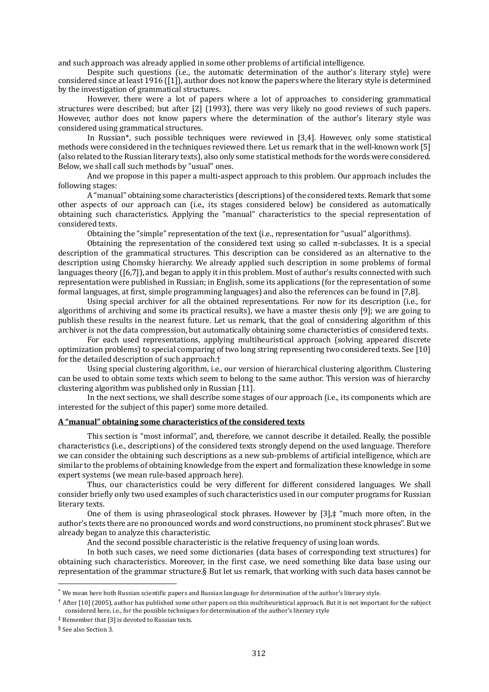and such approach was already applied in some other problems of artificial intelligence.

Despite such questions (i.e., the automatic determination of the author's literary style) were considered since at least 1916 ([1]), author does not know the papers where the literary style is determined by the investigation of grammatical structures.

However, there were a lot of papers where a lot of approaches to considering grammatical structures were described; but after [2] (1993), there was very likely no good reviews of such papers. However, author does not know papers where the determination of the author's literary style was considered using grammatical structures.

In Russian\*, such possible techniques were reviewed in [3,4]. However, only some statistical methods were considered in the techniques reviewed there. Let us remark that in the well-known work [5] (also related to the Russian literary texts), also only some statistical methods for the words were considered. Below, we shall call such methods by "usual" ones.

And we propose in this paper a multi-aspect approach to this problem. Our approach includes the following stages:

A "manual" obtaining some characteristics (descriptions) of the considered texts. Remark that some other aspects of our approach can (i.e., its stages considered below) be considered as automatically obtaining such characteristics. Applying the "manual" characteristics to the special representation of considered texts.

Obtaining the "simple" representation of the text (i.e., representation for "usual" algorithms).

Obtaining the representation of the considered text using so called π-subclasses. It is a special description of the grammatical structures. This description can be considered as an alternative to the description using Chomsky hierarchy. We already applied such description in some problems of formal languages theory ([6,7]), and began to apply it in this problem. Most of author's results connected with such representation were published in Russian; in English, some its applications (for the representation of some formal languages, at first, simple programming languages) and also the references can be found in [7,8].

Using special archiver for all the obtained representations. For now for its description (i.e., for algorithms of archiving and some its practical results), we have a master thesis only [9]; we are going to publish these results in the nearest future. Let us remark, that the goal of considering algorithm of this archiver is not the data compression, but automatically obtaining some characteristics of considered texts.

For each used representations, applying multiheuristical approach (solving appeared discrete optimization problems) to special comparing of two long string representing two considered texts. See [10] for the detailed description of such approach.†

Using special clustering algorithm, i.e., our version of hierarchical clustering algorithm. Clustering can be used to obtain some texts which seem to belong to the same author. This version was of hierarchy clustering algorithm was published only in Russian [11].

In the next sections, we shall describe some stages of our approach (i.e., its components which are interested for the subject of this paper) some more detailed.

## **A "manual" obtaining some characteristics of the considered texts**

This section is "most informal", and, therefore, we cannot describe it detailed. Really, the possible characteristics (i.e., descriptions) of the considered texts strongly depend on the used language. Therefore we can consider the obtaining such descriptions as a new sub-problems of artificial intelligence, which are similar to the problems of obtaining knowledge from the expert and formalization these knowledge in some expert systems (we mean rule-based approach here).

Thus, our characteristics could be very different for different considered languages. We shall consider briefly only two used examples of such characteristics used in our computer programs for Russian literary texts.

One of them is using phraseological stock phrases. However by [3],‡ "much more often, in the author's texts there are no pronounced words and word constructions, no prominent stock phrases". But we already began to analyze this characteristic.

And the second possible characteristic is the relative frequency of using loan words.

In both such cases, we need some dictionaries (data bases of corresponding text structures) for obtaining such characteristics. Moreover, in the first case, we need something like data base using our representation of the grammar structure.§ But let us remark, that working with such data bases cannot be

 $\overline{\phantom{a}}$ 

<sup>\*</sup> We mean here both Russian scientific papers and Russian language for determination of the author's literary style.

<sup>†</sup> After [10] (2005), author has published some other papers on this multiheuristical approach. But it is not important for the subject considered here, i.e., for the possible techniques for determination of the author's literary style

<sup>‡</sup> Remember that [3] is devoted to Russian texts.

<sup>§</sup> See also Section 3.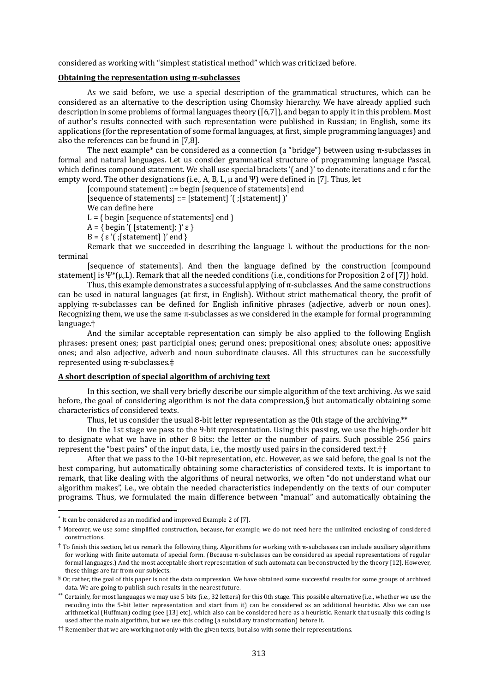considered as working with "simplest statistical method" which was criticized before.

# **Obtaining the representation using π-subclasses**

As we said before, we use a special description of the grammatical structures, which can be considered as an alternative to the description using Chomsky hierarchy. We have already applied such description in some problems of formal languages theory ([6,7]), and began to apply it in this problem. Most of author's results connected with such representation were published in Russian; in English, some its applications (for the representation of some formal languages, at first, simple programming languages) and also the references can be found in [7,8].

The next example\* can be considered as a connection (a "bridge") between using  $\pi$ -subclasses in formal and natural languages. Let us consider grammatical structure of programming language Pascal, which defines compound statement. We shall use special brackets '( and )' to denote iterations and  $\varepsilon$  for the empty word. The other designations (i.e., A, B, L,  $\mu$  and  $\Psi$ ) were defined in [7]. Thus, let

[compound statement] ::= begin [sequence of statements] end

 $\overline{\mathsf{I}}$  [sequence of statements] ::= [statement] '(; [statement] ]'

We can define here

 $L = \{begin[red] \text{begin} \text{f} \text{sequence of statements} \} \end{bmatrix}$ 

 $A = \{begin{bmatrix} (f_{\text{statement}}); \\ \end{bmatrix} \in \}$ 

B = { ε'( ; [statement] )' end }

Remark that we succeeded in describing the language L without the productions for the nonterminal

[sequence of statements]. And then the language defined by the construction [compound statement] is  $\Psi^*(\mu, L)$ . Remark that all the needed conditions (i.e., conditions for Proposition 2 of [7]) hold.

Thus, this example demonstrates a successful applying of π-subclasses. And the same constructions can be used in natural languages (at first, in English). Without strict mathematical theory, the profit of applying π-subclasses can be defined for English infinitive phrases (adjective, adverb or noun ones). Recognizing them, we use the same π-subclasses as we considered in the example for formal programming language.†

And the similar acceptable representation can simply be also applied to the following English phrases: present ones; past participial ones; gerund ones; prepositional ones; absolute ones; appositive ones; and also adjective, adverb and noun subordinate clauses. All this structures can be successfully represented using π-subclasses.‡

## **A short description of special algorithm of archiving text**

In this section, we shall very briefly describe our simple algorithm of the text archiving. As we said before, the goal of considering algorithm is not the data compression,§ but automatically obtaining some characteristics of considered texts.

Thus, let us consider the usual 8-bit letter representation as the 0th stage of the archiving.\*\*

On the 1st stage we pass to the 9-bit representation. Using this passing, we use the high-order bit to designate what we have in other 8 bits: the letter or the number of pairs. Such possible 256 pairs represent the "best pairs" of the input data, i.e., the mostly used pairs in the considered text.††

After that we pass to the 10-bit representation, etc. However, as we said before, the goal is not the best comparing, but automatically obtaining some characteristics of considered texts. It is important to remark, that like dealing with the algorithms of neural networks, we often "do not understand what our algorithm makes", i.e., we obtain the needed characteristics independently on the texts of our computer programs. Thus, we formulated the main difference between "manual" and automatically obtaining the

 $\overline{\phantom{a}}$ 

<sup>\*</sup> It can be considered as an modified and improved Example 2 of [7].

<sup>†</sup> Moreover, we use some simplified construction, because, for example, we do not need here the unlimited enclosing of considered constructions.

<sup>‡</sup> To finish this section, let us remark the following thing. Algorithms for working with π-subclasses can include auxiliary algorithms for working with finite automata of special form. (Because π-subclasses can be considered as special representations of regular formal languages.) And the most acceptable short representation of such automata can be constructed by the theory [12]. However, these things are far from our subjects.

 $\frac{6}{3}$  Or, rather, the goal of this paper is not the data compression. We have obtained some successful results for some groups of archived data. We are going to publish such results in the nearest future.

<sup>\*\*</sup> Certainly, for most languages we may use 5 bits (i.e., 32 letters) for this 0th stage. This possible alternative (i.e., whether we use the recoding into the 5-bit letter representation and start from it) can be considered as an additional heuristic. Also we can use arithmetical (Huffman) coding (see [13] etc), which also can be considered here as a heuristic. Remark that usually this coding is used after the main algorithm, but we use this coding (a subsidiary transformation) before it.

<sup>††</sup> Remember that we are working not only with the given texts, but also with some their representations.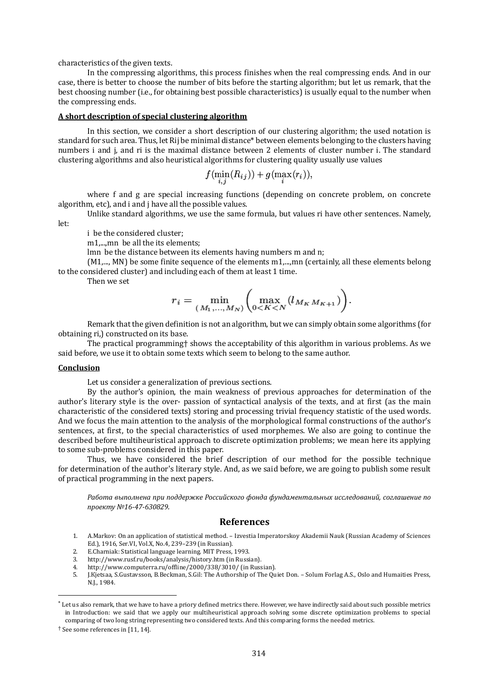characteristics of the given texts.

In the compressing algorithms, this process finishes when the real compressing ends. And in our case, there is better to choose the number of bits before the starting algorithm; but let us remark, that the best choosing number (i.e., for obtaining best possible characteristics) is usually equal to the number when the compressing ends.

#### **A short description of special clustering algorithm**

In this section, we consider a short description of our clustering algorithm; the used notation is standard for such area. Thus, let Rij be minimal distance\* between elements belonging to the clusters having numbers i and i, and ri is the maximal distance between 2 elements of cluster number i. The standard clustering algorithms and also heuristical algorithms for clustering quality usually use values

$$
f(\min_{i,j}(R_{ij})) + g(\max_i(r_i)),
$$

where f and g are special increasing functions (depending on concrete problem, on concrete algorithm, etc), and i and j have all the possible values.

Unlike standard algorithms, we use the same formula, but values ri have other sentences. Namely, let:

i be the considered cluster;

m1,...,mn be all the its elements:

lmn be the distance between its elements having numbers m and n;

(M1,..., MN) be some finite sequence of the elements m1,...,mn (certainly, all these elements belong to the considered cluster) and including each of them at least 1 time.

Then we set

$$
r_i = \min_{(M_1, ..., M_N)} \left( \max_{0 < K < N} (l_{M_K M_{K+1}}) \right).
$$

Remark that the given definition is not an algorithm, but we can simply obtain some algorithms (for obtaining ri,) constructed on its base.

The practical programming† shows the acceptability of this algorithm in various problems. As we said before, we use it to obtain some texts which seem to belong to the same author.

## **Conclusion**

Let us consider a generalization of previous sections.

By the author's opinion, the main weakness of previous approaches for determination of the author's literary style is the over- passion of syntactical analysis of the texts, and at first (as the main characteristic of the considered texts) storing and processing trivial frequency statistic of the used words. And we focus the main attention to the analysis of the morphological formal constructions of the author's sentences, at first, to the special characteristics of used morphemes. We also are going to continue the described before multiheuristical approach to discrete optimization problems; we mean here its applying to some sub-problems considered in this paper.

Thus, we have considered the brief description of our method for the possible technique for determination of the author's literary style. And, as we said before, we are going to publish some result of practical programming in the next papers.

Работа выполнена при поддержке Российского фонда фундаментальных исследований, соглашение по *проекту №16-47-630829.*

# **References**

- 1. A.Markov: On an application of statistical method. Izvestia Imperatorskoy Akademii Nauk (Russian Academy of Sciences Ed.), 1916, Ser.VI, Vol.X, No.4, 239–239 (in Russian).
- 2. E.Charniak: Statistical language learning. MIT Press, 1993.
- 3. http://www.rusf.ru/books/analysis/history.htm (in Russian).
- 4. http://www.computerra.ru/offline/2000/338/3010/ (in Russian).
- 5. J.Кjetsaa, S.Gustavsson, B.Beckman, S.Gil: The Authorship of The Quiet Don. Solum Forlag A.S., Oslo and Humaities Press, N.J., 1984.

 $\overline{a}$ 

<sup>\*</sup> Let us also remark, that we have to have a priory defined metrics there. However, we have indirectly said about such possible metrics in Introduction: we said that we apply our multiheuristical approach solving some discrete optimization problems to special comparing of two long string representing two considered texts. And this comparing forms the needed metrics.

<sup>†</sup> See some references in [11, 14].